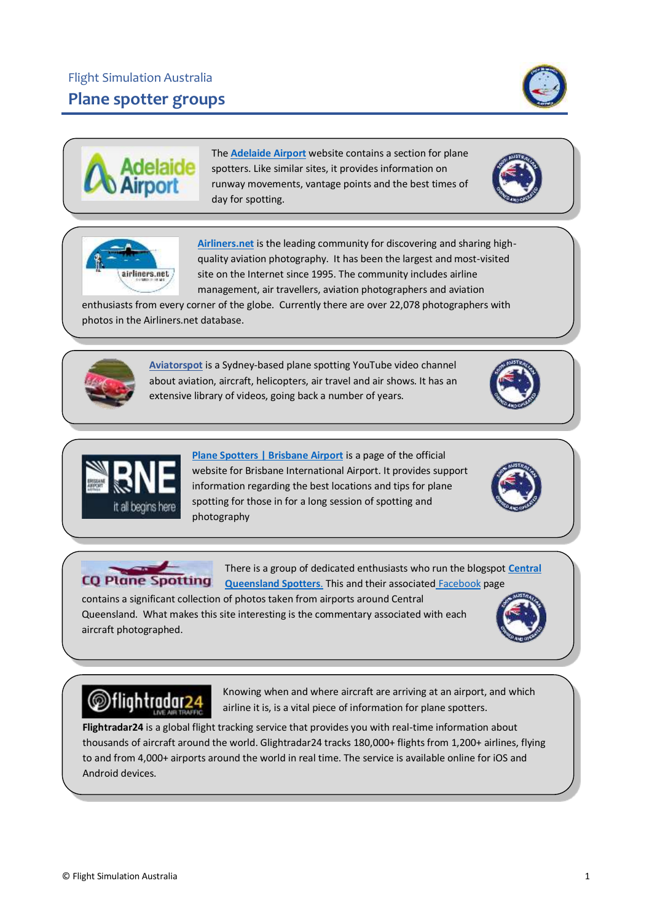## Flight Simulation Australia **Plane spotter groups**

airliners.net

The **[Adelaide Airport](https://www.adelaideairport.com.au/corporate/community/plane-spotters/)** website contains a section for plane spotters. Like similar sites, it provides information on runway movements, vantage points and the best times of day for spotting.

**[Airliners.net](https://www.airliners.net/)** is the leading community for discovering and sharing highquality aviation photography. It has been the largest and most-visited site on the Internet since 1995. The community includes airline management, air travellers, aviation photographers and aviation

enthusiasts from every corner of the globe. Currently there are over 22,078 photographers with photos in the Airliners.net database.

> **[Aviatorspot](https://www.youtube.com/user/egowya/videos)** is a Sydney-based plane spotting YouTube video channel about aviation, aircraft, helicopters, air travel and air shows. It has an extensive library of videos, going back a number of years.

> > **[Plane Spotters | Brisbane Airport](https://www.bne.com.au/passenger/shop-dine-explore/explore/plane-spotters)** is a page of the official website for Brisbane International Airport. It provides support information regarding the best locations and tips for plane spotting for those in for a long session of spotting and photography

There is a group of dedicated enthusiasts who run the blogspot **[Central](http://cqplanespotting.blogspot.com/)  CQ Plane Spotting [Queensland Spotters](http://cqplanespotting.blogspot.com/)**. This and their associated [Facebook](https://www.facebook.com/cqplanespotting/) page

contains a significant collection of photos taken from airports around Central Queensland. What makes this site interesting is the commentary associated with each aircraft photographed.

## @flightradar24

Knowing when and where aircraft are arriving at an airport, and which airline it is, is a vital piece of information for plane spotters.

**Flightradar24** is a global flight tracking service that provides you with real-time information about thousands of aircraft around the world. Glightradar24 tracks 180,000+ flights from 1,200+ airlines, flying to and from 4,000+ airports around the world in real time. The service is available online for iOS and Android devices.









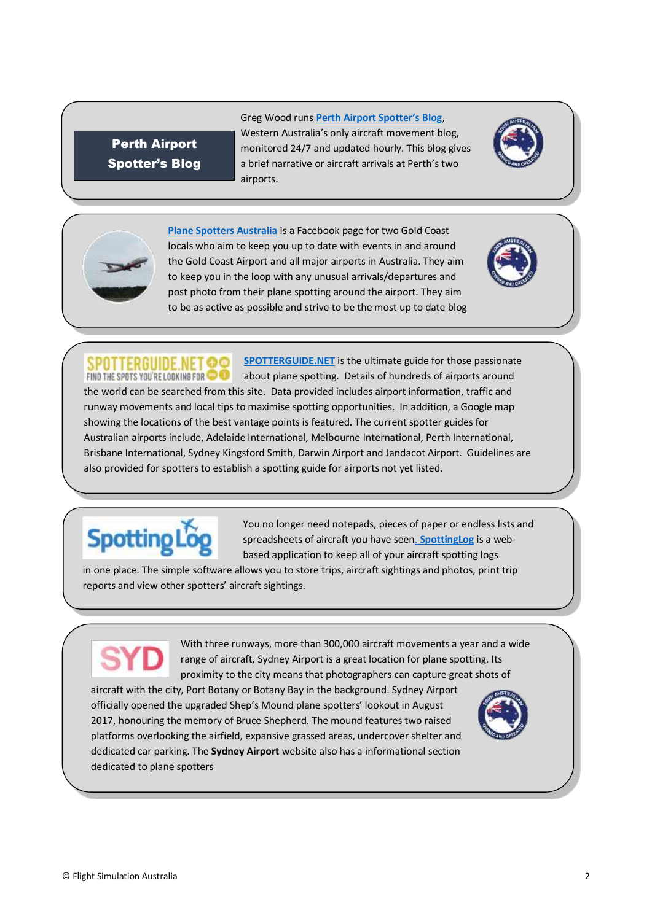## Perth Airport Spotter's Blog

Greg Wood runs **[Perth Airport Spotter's Blog](http://aegwaspotters.blogspot.com/)**, Western Australia's only aircraft movement blog, monitored 24/7 and updated hourly. This blog gives a brief narrative or aircraft arrivals at Perth's two airports.





**[Plane Spotters Australia](https://www.facebook.com/planespottersaustralia/)** is a Facebook page for two Gold Coast locals who aim to keep you up to date with events in and around the Gold Coast Airport and all major airports in Australia. They aim to keep you in the loop with any unusual arrivals/departures and post photo from their plane spotting around the airport. They aim to be as active as possible and strive to be the most up to date blog

**[SPOTTERGUIDE.NET](https://www.spotterguide.net/planespotting/oceania/australia/brisbane-bne-ybbn/)** is the ultimate guide for those passionate SPOTTERGUIDE.NET ©© FIND THE SPOTS YOU'RE LOOKING FOR **O** about plane spotting. Details of hundreds of airports around the world can be searched from this site. Data provided includes airport information, traffic and runway movements and local tips to maximise spotting opportunities. In addition, a Google map showing the locations of the best vantage points is featured. The current spotter guides for Australian airports include, Adelaide International, Melbourne International, Perth International, Brisbane International, Sydney Kingsford Smith, Darwin Airport and Jandacot Airport. Guidelines are also provided for spotters to establish a spotting guide for airports not yet listed.



You no longer need notepads, pieces of paper or endless lists and spreadsheets of aircraft you have seen. **[SpottingLog](https://www.spottinglog.com/)** is a webbased application to keep all of your aircraft spotting logs

in one place. The simple software allows you to store trips, aircraft sightings and photos, print trip reports and view other spotters' aircraft sightings.

With three runways, more than 300,000 aircraft movements a year and a wide range of aircraft, Sydney Airport is a great location for plane spotting. Its proximity to the city means that photographers can capture great shots of

aircraft with the city, Port Botany or Botany Bay in the background. Sydney Airport officially opened the upgraded Shep's Mound plane spotters' lookout in August 2017, honouring the memory of Bruce Shepherd. The mound features two raised platforms overlooking the airfield, expansive grassed areas, undercover shelter and dedicated car parking. The **Sydney Airport** website also has a informational section dedicated to plane spotters